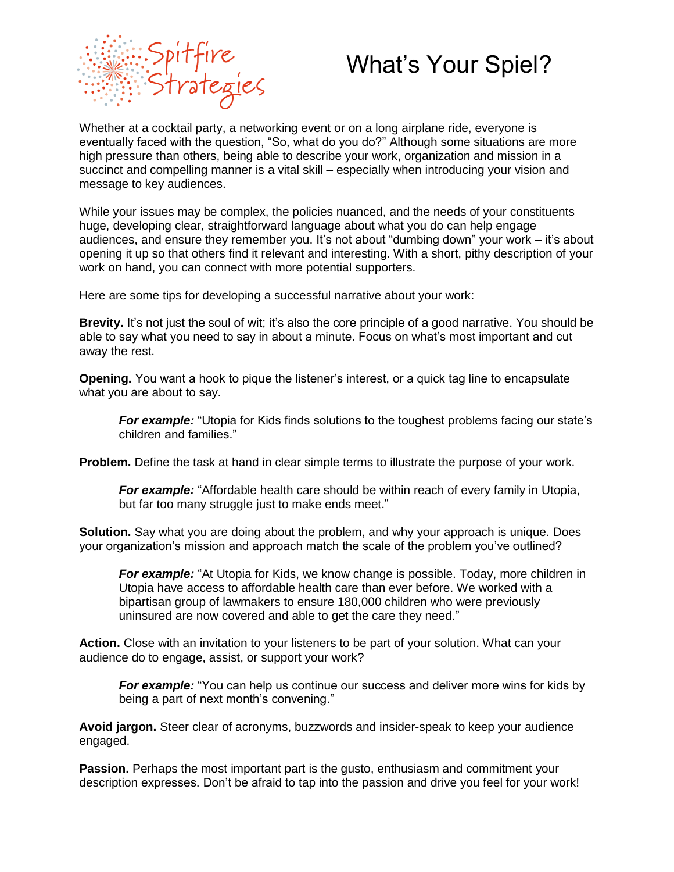

## What's Your Spiel?

Whether at a cocktail party, a networking event or on a long airplane ride, everyone is eventually faced with the question, "So, what do you do?" Although some situations are more high pressure than others, being able to describe your work, organization and mission in a succinct and compelling manner is a vital skill – especially when introducing your vision and message to key audiences.

While your issues may be complex, the policies nuanced, and the needs of your constituents huge, developing clear, straightforward language about what you do can help engage audiences, and ensure they remember you. It's not about "dumbing down" your work – it's about opening it up so that others find it relevant and interesting. With a short, pithy description of your work on hand, you can connect with more potential supporters.

Here are some tips for developing a successful narrative about your work:

**Brevity.** It's not just the soul of wit; it's also the core principle of a good narrative. You should be able to say what you need to say in about a minute. Focus on what's most important and cut away the rest.

**Opening.** You want a hook to pique the listener's interest, or a quick tag line to encapsulate what you are about to say.

**For example:** "Utopia for Kids finds solutions to the toughest problems facing our state's children and families."

**Problem.** Define the task at hand in clear simple terms to illustrate the purpose of your work.

*For example:* "Affordable health care should be within reach of every family in Utopia, but far too many struggle just to make ends meet."

**Solution.** Say what you are doing about the problem, and why your approach is unique. Does your organization's mission and approach match the scale of the problem you've outlined?

*For example:* "At Utopia for Kids, we know change is possible. Today, more children in Utopia have access to affordable health care than ever before. We worked with a bipartisan group of lawmakers to ensure 180,000 children who were previously uninsured are now covered and able to get the care they need."

**Action.** Close with an invitation to your listeners to be part of your solution. What can your audience do to engage, assist, or support your work?

*For example:* "You can help us continue our success and deliver more wins for kids by being a part of next month's convening."

**Avoid jargon.** Steer clear of acronyms, buzzwords and insider-speak to keep your audience engaged.

**Passion.** Perhaps the most important part is the gusto, enthusiasm and commitment your description expresses. Don't be afraid to tap into the passion and drive you feel for your work!